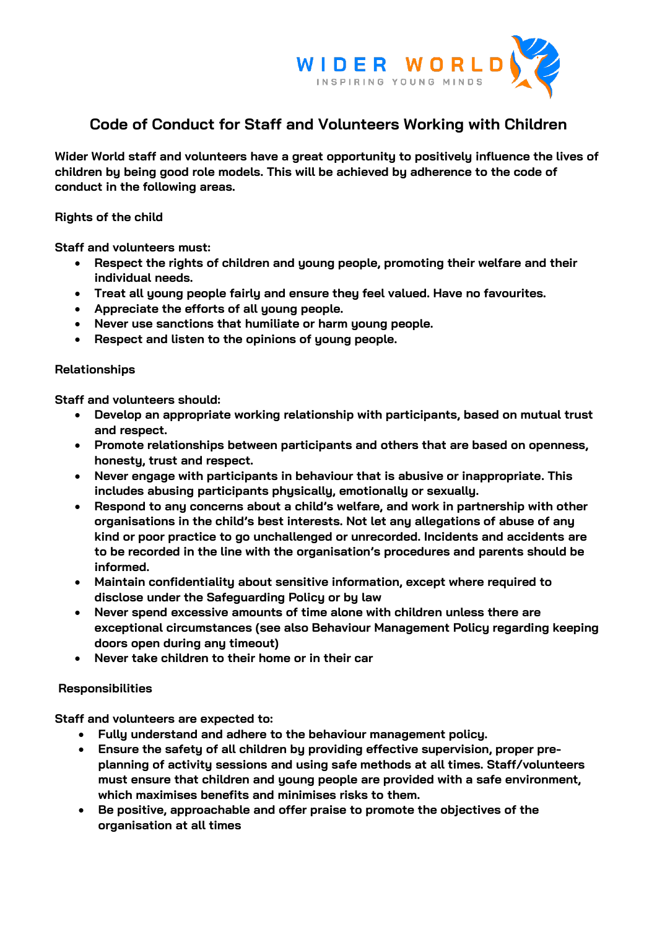

## **Code of Conduct for Staff and Volunteers Working with Children**

**Wider World staff and volunteers have a great opportunity to positively influence the lives of children by being good role models. This will be achieved by adherence to the code of conduct in the following areas.**

**Rights of the child**

**Staff and volunteers must:**

- **Respect the rights of children and young people, promoting their welfare and their individual needs.**
- **Treat all young people fairly and ensure they feel valued. Have no favourites.**
- **Appreciate the efforts of all young people.**
- **Never use sanctions that humiliate or harm young people.**
- **Respect and listen to the opinions of young people.**

## **Relationships**

**Staff and volunteers should:**

- **Develop an appropriate working relationship with participants, based on mutual trust and respect.**
- **Promote relationships between participants and others that are based on openness, honesty, trust and respect.**
- **Never engage with participants in behaviour that is abusive or inappropriate. This includes abusing participants physically, emotionally or sexually.**
- **Respond to any concerns about a child's welfare, and work in partnership with other organisations in the child's best interests. Not let any allegations of abuse of any kind or poor practice to go unchallenged or unrecorded. Incidents and accidents are to be recorded in the line with the organisation's procedures and parents should be informed.**
- **Maintain confidentiality about sensitive information, except where required to disclose under the Safeguarding Policy or by law**
- **Never spend excessive amounts of time alone with children unless there are exceptional circumstances (see also Behaviour Management Policy regarding keeping doors open during any timeout)**
- **Never take children to their home or in their car**

## **Responsibilities**

**Staff and volunteers are expected to:**

- **Fully understand and adhere to the behaviour management policy.**
- **Ensure the safety of all children by providing effective supervision, proper preplanning of activity sessions and using safe methods at all times. Staff/volunteers must ensure that children and young people are provided with a safe environment, which maximises benefits and minimises risks to them.**
- **Be positive, approachable and offer praise to promote the objectives of the organisation at all times**